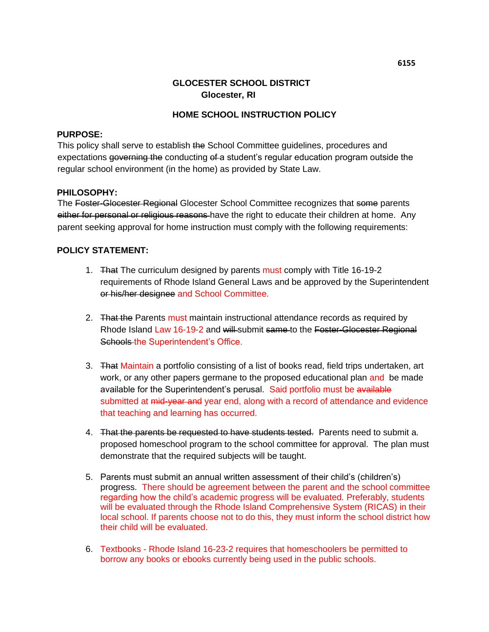# **GLOCESTER SCHOOL DISTRICT Glocester, RI**

## **HOME SCHOOL INSTRUCTION POLICY**

#### **PURPOSE:**

This policy shall serve to establish the School Committee guidelines, procedures and expectations governing the conducting of a student's regular education program outside the regular school environment (in the home) as provided by State Law.

#### **PHILOSOPHY:**

The Foster-Glocester Regional Glocester School Committee recognizes that some parents either for personal or religious reasons have the right to educate their children at home. Any parent seeking approval for home instruction must comply with the following requirements:

### **POLICY STATEMENT:**

- 1. That The curriculum designed by parents must comply with Title 16-19-2 requirements of Rhode Island General Laws and be approved by the Superintendent or his/her designee and School Committee.
- 2. That the Parents must maintain instructional attendance records as required by Rhode Island Law 16-19-2 and will submit same to the Foster-Glocester Regional Schools the Superintendent's Office.
- 3. That Maintain a portfolio consisting of a list of books read, field trips undertaken, art work, or any other papers germane to the proposed educational plan and be made available for the Superintendent's perusal. Said portfolio must be available submitted at mid-year and year end, along with a record of attendance and evidence that teaching and learning has occurred.
- 4. That the parents be requested to have students tested. Parents need to submit a. proposed homeschool program to the school committee for approval. The plan must demonstrate that the required subjects will be taught.
- 5. Parents must submit an annual written assessment of their child's (children's) progress. There should be agreement between the parent and the school committee regarding how the child's academic progress will be evaluated. Preferably, students will be evaluated through the Rhode Island Comprehensive System (RICAS) in their local school. If parents choose not to do this, they must inform the school district how their child will be evaluated.
- 6. Textbooks Rhode Island 16-23-2 requires that homeschoolers be permitted to borrow any books or ebooks currently being used in the public schools.